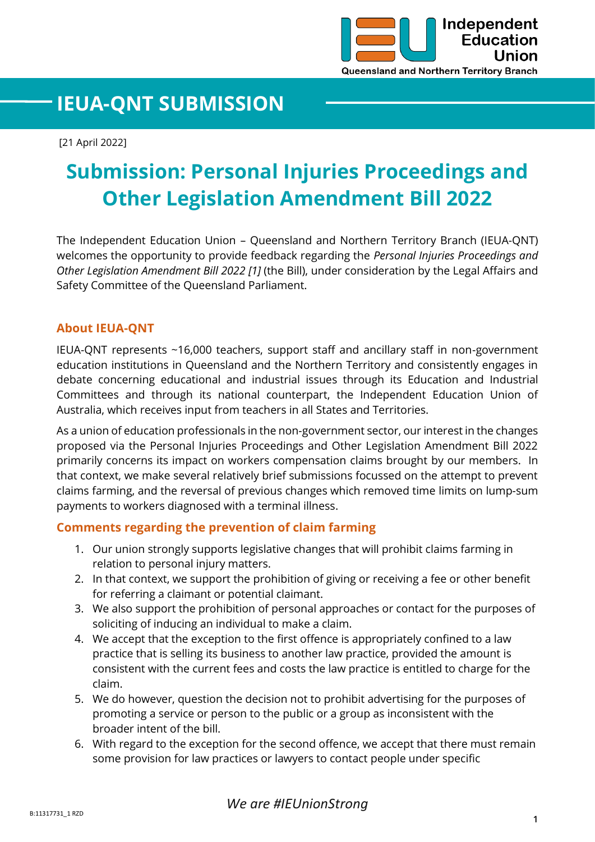

# **IEUA-QNT SUBMISSION**

[21 April 2022]

# **Submission: Personal Injuries Proceedings and Other Legislation Amendment Bill 2022**

The Independent Education Union – Queensland and Northern Territory Branch (IEUA-QNT) welcomes the opportunity to provide feedback regarding the *Personal Injuries Proceedings and Other Legislation Amendment Bill 2022 [1]* (the Bill), under consideration by the Legal Affairs and Safety Committee of the Queensland Parliament.

## **About IEUA-QNT**

IEUA-QNT represents ~16,000 teachers, support staff and ancillary staff in non-government education institutions in Queensland and the Northern Territory and consistently engages in debate concerning educational and industrial issues through its Education and Industrial Committees and through its national counterpart, the Independent Education Union of Australia, which receives input from teachers in all States and Territories.

As a union of education professionals in the non-government sector, our interest in the changes proposed via the Personal Injuries Proceedings and Other Legislation Amendment Bill 2022 primarily concerns its impact on workers compensation claims brought by our members. In that context, we make several relatively brief submissions focussed on the attempt to prevent claims farming, and the reversal of previous changes which removed time limits on lump-sum payments to workers diagnosed with a terminal illness.

## **Comments regarding the prevention of claim farming**

- 1. Our union strongly supports legislative changes that will prohibit claims farming in relation to personal injury matters.
- 2. In that context, we support the prohibition of giving or receiving a fee or other benefit for referring a claimant or potential claimant.
- 3. We also support the prohibition of personal approaches or contact for the purposes of soliciting of inducing an individual to make a claim.
- 4. We accept that the exception to the first offence is appropriately confined to a law practice that is selling its business to another law practice, provided the amount is consistent with the current fees and costs the law practice is entitled to charge for the claim.
- 5. We do however, question the decision not to prohibit advertising for the purposes of promoting a service or person to the public or a group as inconsistent with the broader intent of the bill.
- 6. With regard to the exception for the second offence, we accept that there must remain some provision for law practices or lawyers to contact people under specific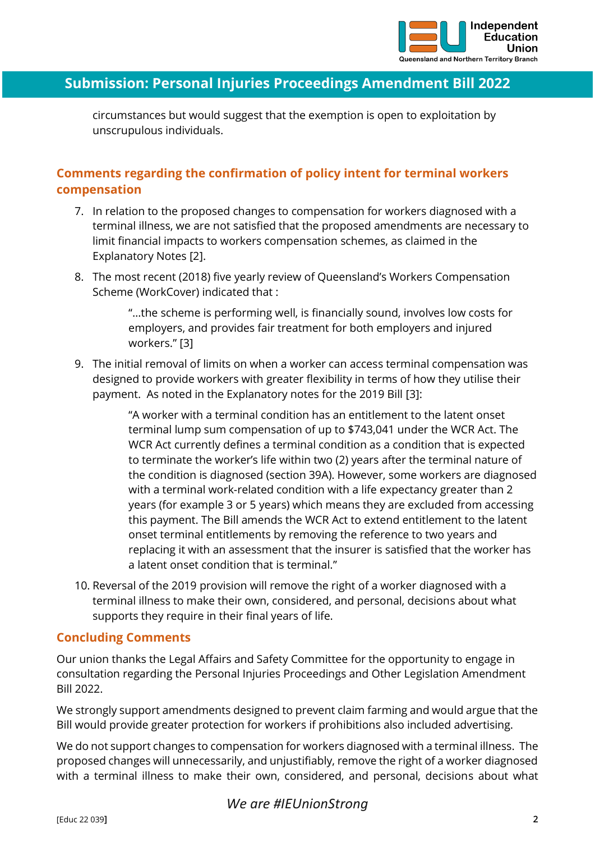

# **Submission: Personal Injuries Proceedings Amendment Bill 2022**

circumstances but would suggest that the exemption is open to exploitation by unscrupulous individuals.

# **Comments regarding the confirmation of policy intent for terminal workers compensation**

- 7. In relation to the proposed changes to compensation for workers diagnosed with a terminal illness, we are not satisfied that the proposed amendments are necessary to limit financial impacts to workers compensation schemes, as claimed in the Explanatory Notes [2].
- 8. The most recent (2018) five yearly review of Queensland's Workers Compensation Scheme (WorkCover) indicated that :

"…the scheme is performing well, is financially sound, involves low costs for employers, and provides fair treatment for both employers and injured workers." [3]

9. The initial removal of limits on when a worker can access terminal compensation was designed to provide workers with greater flexibility in terms of how they utilise their payment. As noted in the Explanatory notes for the 2019 Bill [3]:

> "A worker with a terminal condition has an entitlement to the latent onset terminal lump sum compensation of up to \$743,041 under the WCR Act. The WCR Act currently defines a terminal condition as a condition that is expected to terminate the worker's life within two (2) years after the terminal nature of the condition is diagnosed (section 39A). However, some workers are diagnosed with a terminal work-related condition with a life expectancy greater than 2 years (for example 3 or 5 years) which means they are excluded from accessing this payment. The Bill amends the WCR Act to extend entitlement to the latent onset terminal entitlements by removing the reference to two years and replacing it with an assessment that the insurer is satisfied that the worker has a latent onset condition that is terminal."

10. Reversal of the 2019 provision will remove the right of a worker diagnosed with a terminal illness to make their own, considered, and personal, decisions about what supports they require in their final years of life.

## **Concluding Comments**

Our union thanks the Legal Affairs and Safety Committee for the opportunity to engage in consultation regarding the Personal Injuries Proceedings and Other Legislation Amendment Bill 2022.

We strongly support amendments designed to prevent claim farming and would argue that the Bill would provide greater protection for workers if prohibitions also included advertising.

We do not support changes to compensation for workers diagnosed with a terminal illness. The proposed changes will unnecessarily, and unjustifiably, remove the right of a worker diagnosed with a terminal illness to make their own, considered, and personal, decisions about what